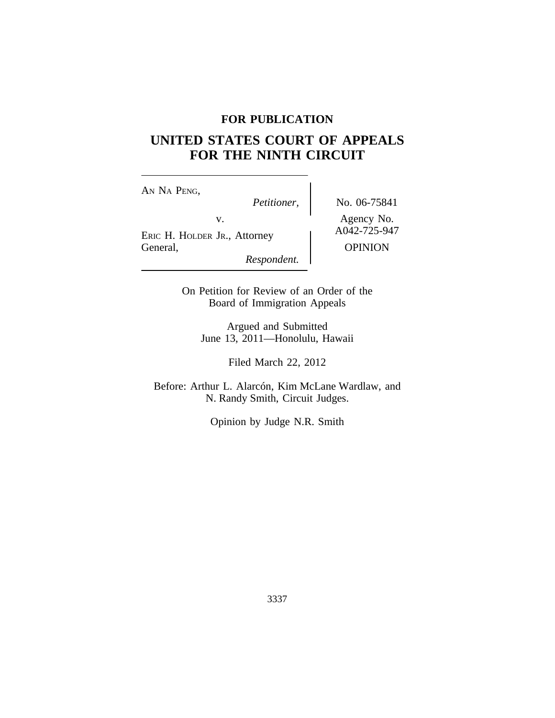# **FOR PUBLICATION**

# **UNITED STATES COURT OF APPEALS FOR THE NINTH CIRCUIT**

AN NA PENG,<br>Petitioner, v.<br>
ERIC H. HOLDER JR., Attorney A042-725-947 General, OPINION

*Respondent.*

*Petitioner,* No. 06-75841

On Petition for Review of an Order of the Board of Immigration Appeals

Argued and Submitted June 13, 2011—Honolulu, Hawaii

Filed March 22, 2012

Before: Arthur L. Alarcón, Kim McLane Wardlaw, and N. Randy Smith, Circuit Judges.

Opinion by Judge N.R. Smith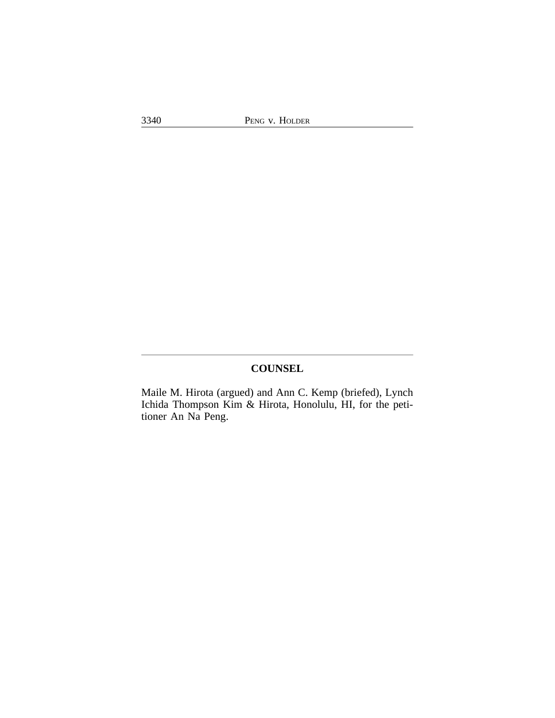# **COUNSEL**

Maile M. Hirota (argued) and Ann C. Kemp (briefed), Lynch Ichida Thompson Kim & Hirota, Honolulu, HI, for the petitioner An Na Peng.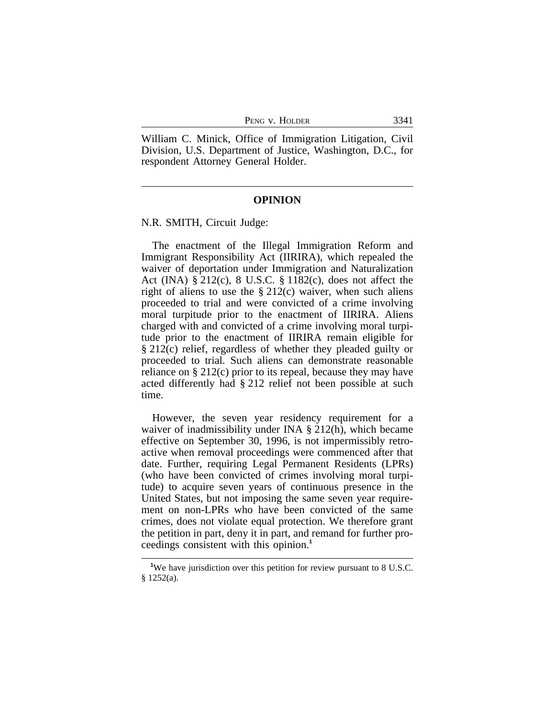|  | Peng v. Holder |
|--|----------------|
|--|----------------|

William C. Minick, Office of Immigration Litigation, Civil Division, U.S. Department of Justice, Washington, D.C., for respondent Attorney General Holder.

#### **OPINION**

N.R. SMITH, Circuit Judge:

The enactment of the Illegal Immigration Reform and Immigrant Responsibility Act (IIRIRA), which repealed the waiver of deportation under Immigration and Naturalization Act (INA) § 212(c), 8 U.S.C. § 1182(c), does not affect the right of aliens to use the  $\S 212(c)$  waiver, when such aliens proceeded to trial and were convicted of a crime involving moral turpitude prior to the enactment of IIRIRA. Aliens charged with and convicted of a crime involving moral turpitude prior to the enactment of IIRIRA remain eligible for § 212(c) relief, regardless of whether they pleaded guilty or proceeded to trial. Such aliens can demonstrate reasonable reliance on § 212(c) prior to its repeal, because they may have acted differently had § 212 relief not been possible at such time.

However, the seven year residency requirement for a waiver of inadmissibility under INA § 212(h), which became effective on September 30, 1996, is not impermissibly retroactive when removal proceedings were commenced after that date. Further, requiring Legal Permanent Residents (LPRs) (who have been convicted of crimes involving moral turpitude) to acquire seven years of continuous presence in the United States, but not imposing the same seven year requirement on non-LPRs who have been convicted of the same crimes, does not violate equal protection. We therefore grant the petition in part, deny it in part, and remand for further proceedings consistent with this opinion.**<sup>1</sup>**

<sup>&</sup>lt;sup>1</sup>We have jurisdiction over this petition for review pursuant to 8 U.S.C. § 1252(a).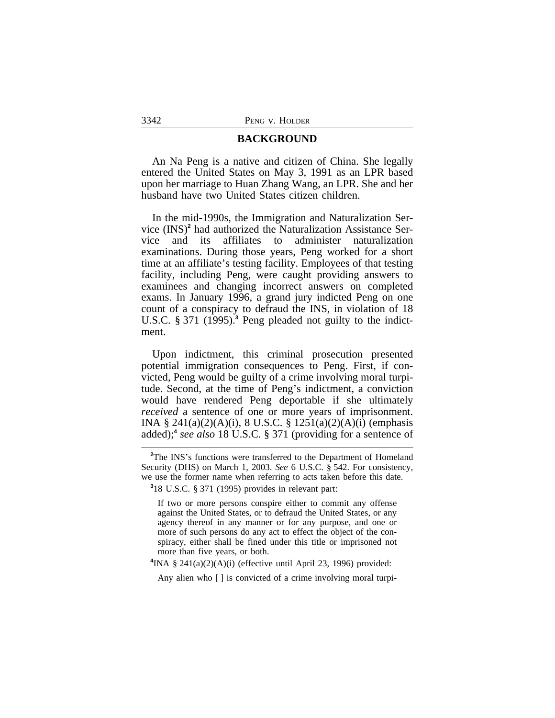#### **BACKGROUND**

An Na Peng is a native and citizen of China. She legally entered the United States on May 3, 1991 as an LPR based upon her marriage to Huan Zhang Wang, an LPR. She and her husband have two United States citizen children.

In the mid-1990s, the Immigration and Naturalization Service (INS)**<sup>2</sup>** had authorized the Naturalization Assistance Service and its affiliates to administer naturalization examinations. During those years, Peng worked for a short time at an affiliate's testing facility. Employees of that testing facility, including Peng, were caught providing answers to examinees and changing incorrect answers on completed exams. In January 1996, a grand jury indicted Peng on one count of a conspiracy to defraud the INS, in violation of 18 U.S.C. § 371 (1995).**<sup>3</sup>** Peng pleaded not guilty to the indictment.

Upon indictment, this criminal prosecution presented potential immigration consequences to Peng. First, if convicted, Peng would be guilty of a crime involving moral turpitude. Second, at the time of Peng's indictment, a conviction would have rendered Peng deportable if she ultimately *received* a sentence of one or more years of imprisonment. INA § 241(a)(2)(A)(i), 8 U.S.C. § 1251(a)(2)(A)(i) (emphasis added);**<sup>4</sup>** *see also* 18 U.S.C. § 371 (providing for a sentence of

**3** 18 U.S.C. § 371 (1995) provides in relevant part:

If two or more persons conspire either to commit any offense against the United States, or to defraud the United States, or any agency thereof in any manner or for any purpose, and one or more of such persons do any act to effect the object of the conspiracy, either shall be fined under this title or imprisoned not more than five years, or both.

 $4$ INA § 241(a)(2)(A)(i) (effective until April 23, 1996) provided:

Any alien who [ ] is convicted of a crime involving moral turpi-

**<sup>2</sup>**The INS's functions were transferred to the Department of Homeland Security (DHS) on March 1, 2003. *See* 6 U.S.C. § 542. For consistency, we use the former name when referring to acts taken before this date.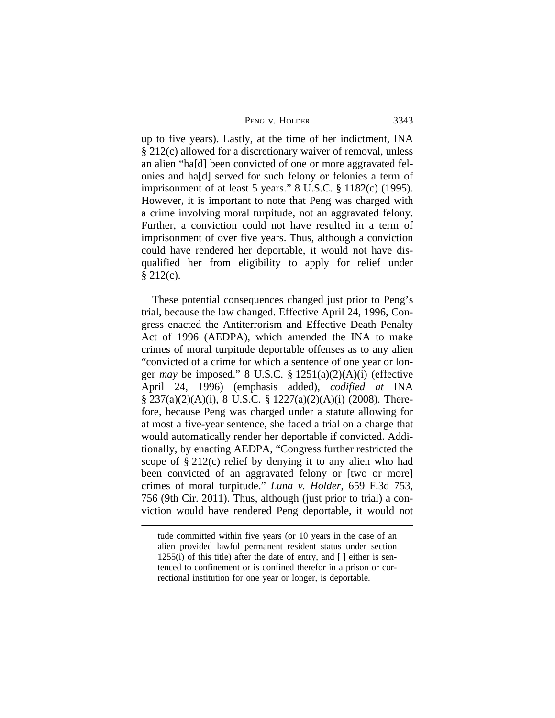| PENG V. HOLDER | 3343 |
|----------------|------|
|                |      |

up to five years). Lastly, at the time of her indictment, INA § 212(c) allowed for a discretionary waiver of removal, unless an alien "ha[d] been convicted of one or more aggravated felonies and ha[d] served for such felony or felonies a term of imprisonment of at least 5 years." 8 U.S.C. § 1182(c) (1995). However, it is important to note that Peng was charged with a crime involving moral turpitude, not an aggravated felony. Further, a conviction could not have resulted in a term of imprisonment of over five years. Thus, although a conviction could have rendered her deportable, it would not have disqualified her from eligibility to apply for relief under  $§$  212(c).

These potential consequences changed just prior to Peng's trial, because the law changed. Effective April 24, 1996, Congress enacted the Antiterrorism and Effective Death Penalty Act of 1996 (AEDPA), which amended the INA to make crimes of moral turpitude deportable offenses as to any alien "convicted of a crime for which a sentence of one year or longer *may* be imposed." 8 U.S.C. § 1251(a)(2)(A)(i) (effective April 24, 1996) (emphasis added), *codified at* INA § 237(a)(2)(A)(i), 8 U.S.C. § 1227(a)(2)(A)(i) (2008). Therefore, because Peng was charged under a statute allowing for at most a five-year sentence, she faced a trial on a charge that would automatically render her deportable if convicted. Additionally, by enacting AEDPA, "Congress further restricted the scope of  $\S 212(c)$  relief by denying it to any alien who had been convicted of an aggravated felony or [two or more] crimes of moral turpitude." *Luna v. Holder*, 659 F.3d 753, 756 (9th Cir. 2011). Thus, although (just prior to trial) a conviction would have rendered Peng deportable, it would not

tude committed within five years (or 10 years in the case of an alien provided lawful permanent resident status under section 1255(i) of this title) after the date of entry, and [ ] either is sentenced to confinement or is confined therefor in a prison or correctional institution for one year or longer, is deportable.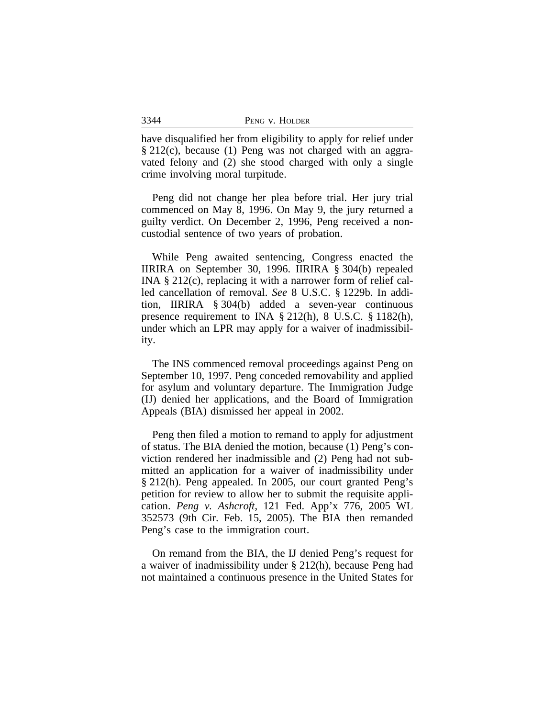| Peng y | V. HOLDER |
|--------|-----------|
|--------|-----------|

have disqualified her from eligibility to apply for relief under § 212(c), because (1) Peng was not charged with an aggravated felony and (2) she stood charged with only a single crime involving moral turpitude.

Peng did not change her plea before trial. Her jury trial commenced on May 8, 1996. On May 9, the jury returned a guilty verdict. On December 2, 1996, Peng received a noncustodial sentence of two years of probation.

While Peng awaited sentencing, Congress enacted the IIRIRA on September 30, 1996. IIRIRA § 304(b) repealed INA § 212(c), replacing it with a narrower form of relief called cancellation of removal. *See* 8 U.S.C. § 1229b. In addition, IIRIRA § 304(b) added a seven-year continuous presence requirement to INA § 212(h), 8 U.S.C. § 1182(h), under which an LPR may apply for a waiver of inadmissibility.

The INS commenced removal proceedings against Peng on September 10, 1997. Peng conceded removability and applied for asylum and voluntary departure. The Immigration Judge (IJ) denied her applications, and the Board of Immigration Appeals (BIA) dismissed her appeal in 2002.

Peng then filed a motion to remand to apply for adjustment of status. The BIA denied the motion, because (1) Peng's conviction rendered her inadmissible and (2) Peng had not submitted an application for a waiver of inadmissibility under § 212(h). Peng appealed. In 2005, our court granted Peng's petition for review to allow her to submit the requisite application. *Peng v. Ashcroft*, 121 Fed. App'x 776, 2005 WL 352573 (9th Cir. Feb. 15, 2005). The BIA then remanded Peng's case to the immigration court.

On remand from the BIA, the IJ denied Peng's request for a waiver of inadmissibility under § 212(h), because Peng had not maintained a continuous presence in the United States for

3344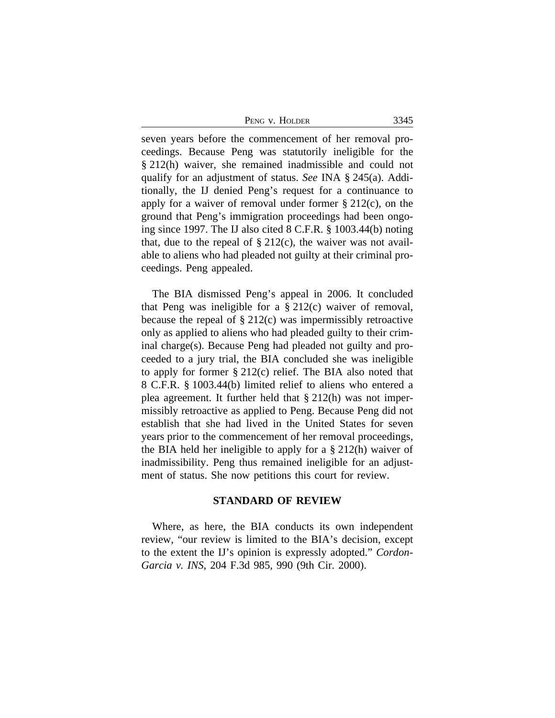PENG V. HOLDER 3345

seven years before the commencement of her removal proceedings. Because Peng was statutorily ineligible for the § 212(h) waiver, she remained inadmissible and could not qualify for an adjustment of status. *See* INA § 245(a). Additionally, the IJ denied Peng's request for a continuance to apply for a waiver of removal under former  $\S 212(c)$ , on the ground that Peng's immigration proceedings had been ongoing since 1997. The IJ also cited 8 C.F.R. § 1003.44(b) noting that, due to the repeal of  $\S 212(c)$ , the waiver was not available to aliens who had pleaded not guilty at their criminal proceedings. Peng appealed.

The BIA dismissed Peng's appeal in 2006. It concluded that Peng was ineligible for a  $\S 212(c)$  waiver of removal, because the repeal of § 212(c) was impermissibly retroactive only as applied to aliens who had pleaded guilty to their criminal charge(s). Because Peng had pleaded not guilty and proceeded to a jury trial, the BIA concluded she was ineligible to apply for former § 212(c) relief. The BIA also noted that 8 C.F.R. § 1003.44(b) limited relief to aliens who entered a plea agreement. It further held that § 212(h) was not impermissibly retroactive as applied to Peng. Because Peng did not establish that she had lived in the United States for seven years prior to the commencement of her removal proceedings, the BIA held her ineligible to apply for a § 212(h) waiver of inadmissibility. Peng thus remained ineligible for an adjustment of status. She now petitions this court for review.

#### **STANDARD OF REVIEW**

Where, as here, the BIA conducts its own independent review, "our review is limited to the BIA's decision, except to the extent the IJ's opinion is expressly adopted." *Cordon-Garcia v. INS*, 204 F.3d 985, 990 (9th Cir. 2000).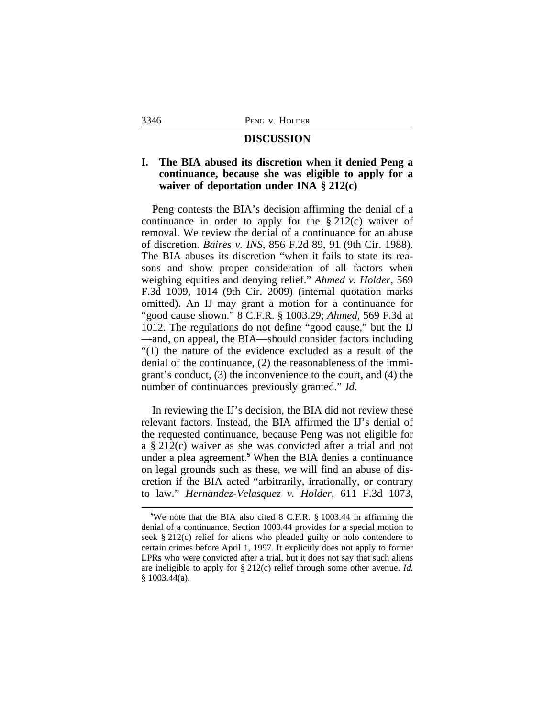#### **DISCUSSION**

## **I. The BIA abused its discretion when it denied Peng a continuance, because she was eligible to apply for a waiver of deportation under INA § 212(c)**

Peng contests the BIA's decision affirming the denial of a continuance in order to apply for the § 212(c) waiver of removal. We review the denial of a continuance for an abuse of discretion. *Baires v. INS*, 856 F.2d 89, 91 (9th Cir. 1988). The BIA abuses its discretion "when it fails to state its reasons and show proper consideration of all factors when weighing equities and denying relief." *Ahmed v. Holder*, 569 F.3d 1009, 1014 (9th Cir. 2009) (internal quotation marks omitted). An IJ may grant a motion for a continuance for "good cause shown." 8 C.F.R. § 1003.29; *Ahmed*, 569 F.3d at 1012. The regulations do not define "good cause," but the IJ —and, on appeal, the BIA—should consider factors including "(1) the nature of the evidence excluded as a result of the denial of the continuance, (2) the reasonableness of the immigrant's conduct, (3) the inconvenience to the court, and (4) the number of continuances previously granted." *Id.*

In reviewing the IJ's decision, the BIA did not review these relevant factors. Instead, the BIA affirmed the IJ's denial of the requested continuance, because Peng was not eligible for a § 212(c) waiver as she was convicted after a trial and not under a plea agreement.**<sup>5</sup>** When the BIA denies a continuance on legal grounds such as these, we will find an abuse of discretion if the BIA acted "arbitrarily, irrationally, or contrary to law." *Hernandez-Velasquez v. Holder*, 611 F.3d 1073,

**<sup>5</sup>**We note that the BIA also cited 8 C.F.R. § 1003.44 in affirming the denial of a continuance. Section 1003.44 provides for a special motion to seek § 212(c) relief for aliens who pleaded guilty or nolo contendere to certain crimes before April 1, 1997. It explicitly does not apply to former LPRs who were convicted after a trial, but it does not say that such aliens are ineligible to apply for § 212(c) relief through some other avenue. *Id.* § 1003.44(a).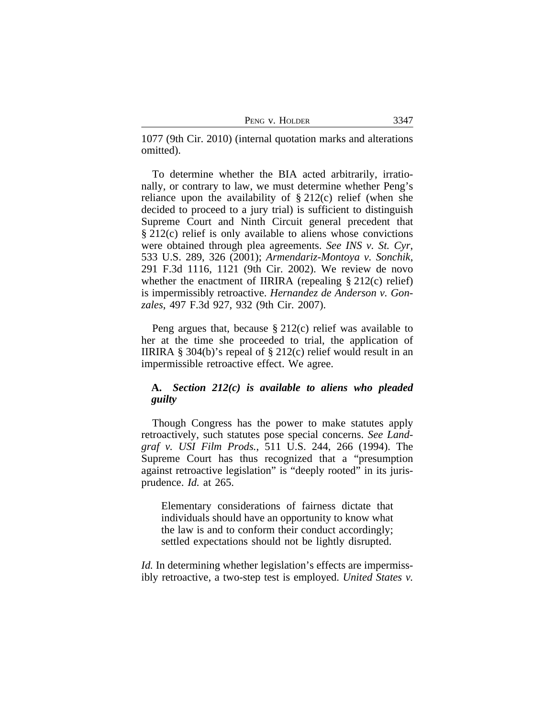| Peng v. Holder |
|----------------|
|                |

1077 (9th Cir. 2010) (internal quotation marks and alterations omitted).

To determine whether the BIA acted arbitrarily, irrationally, or contrary to law, we must determine whether Peng's reliance upon the availability of  $\S 212(c)$  relief (when she decided to proceed to a jury trial) is sufficient to distinguish Supreme Court and Ninth Circuit general precedent that § 212(c) relief is only available to aliens whose convictions were obtained through plea agreements. *See INS v. St. Cyr*, 533 U.S. 289, 326 (2001); *Armendariz-Montoya v. Sonchik*, 291 F.3d 1116, 1121 (9th Cir. 2002). We review de novo whether the enactment of IIRIRA (repealing § 212(c) relief) is impermissibly retroactive. *Hernandez de Anderson v. Gonzales*, 497 F.3d 927, 932 (9th Cir. 2007).

Peng argues that, because  $\S 212(c)$  relief was available to her at the time she proceeded to trial, the application of IIRIRA  $\S 304(b)$ 's repeal of  $\S 212(c)$  relief would result in an impermissible retroactive effect. We agree.

## **A.** *Section 212(c) is available to aliens who pleaded guilty*

Though Congress has the power to make statutes apply retroactively, such statutes pose special concerns. *See Landgraf v. USI Film Prods.*, 511 U.S. 244, 266 (1994). The Supreme Court has thus recognized that a "presumption against retroactive legislation" is "deeply rooted" in its jurisprudence. *Id.* at 265.

Elementary considerations of fairness dictate that individuals should have an opportunity to know what the law is and to conform their conduct accordingly; settled expectations should not be lightly disrupted.

*Id.* In determining whether legislation's effects are impermissibly retroactive, a two-step test is employed. *United States v.*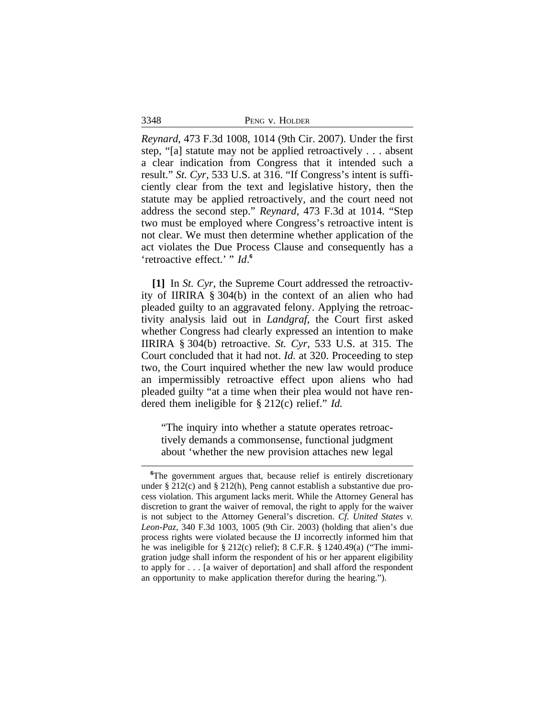3348

*Reynard*, 473 F.3d 1008, 1014 (9th Cir. 2007). Under the first step, "[a] statute may not be applied retroactively . . . absent a clear indication from Congress that it intended such a result." *St. Cyr*, 533 U.S. at 316. "If Congress's intent is sufficiently clear from the text and legislative history, then the statute may be applied retroactively, and the court need not address the second step." *Reynard*, 473 F.3d at 1014. "Step two must be employed where Congress's retroactive intent is not clear. We must then determine whether application of the act violates the Due Process Clause and consequently has a 'retroactive effect.' " *Id*.<sup>6</sup>

**[1]** In *St. Cyr*, the Supreme Court addressed the retroactivity of IIRIRA § 304(b) in the context of an alien who had pleaded guilty to an aggravated felony. Applying the retroactivity analysis laid out in *Landgraf*, the Court first asked whether Congress had clearly expressed an intention to make IIRIRA § 304(b) retroactive. *St. Cyr*, 533 U.S. at 315. The Court concluded that it had not. *Id.* at 320. Proceeding to step two, the Court inquired whether the new law would produce an impermissibly retroactive effect upon aliens who had pleaded guilty "at a time when their plea would not have rendered them ineligible for § 212(c) relief." *Id.*

"The inquiry into whether a statute operates retroactively demands a commonsense, functional judgment about 'whether the new provision attaches new legal

**<sup>6</sup>**The government argues that, because relief is entirely discretionary under § 212(c) and § 212(h), Peng cannot establish a substantive due process violation. This argument lacks merit. While the Attorney General has discretion to grant the waiver of removal, the right to apply for the waiver is not subject to the Attorney General's discretion. *Cf. United States v. Leon-Paz*, 340 F.3d 1003, 1005 (9th Cir. 2003) (holding that alien's due process rights were violated because the IJ incorrectly informed him that he was ineligible for § 212(c) relief); 8 C.F.R. § 1240.49(a) ("The immigration judge shall inform the respondent of his or her apparent eligibility to apply for . . . [a waiver of deportation] and shall afford the respondent an opportunity to make application therefor during the hearing.").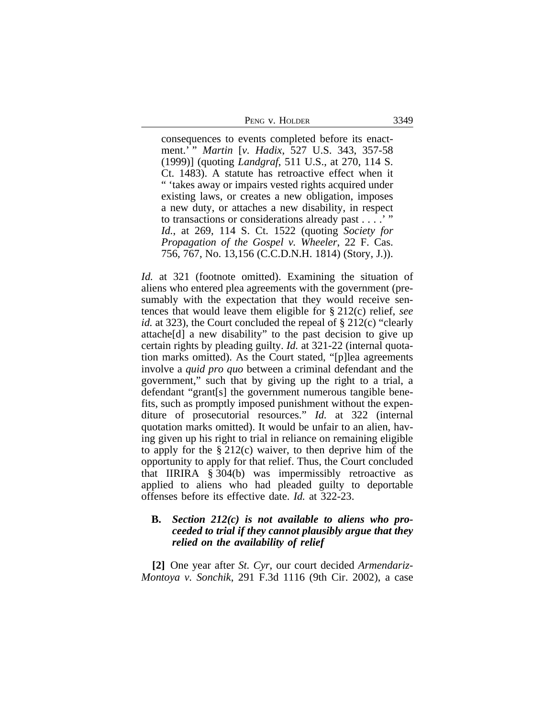PENG V. HOLDER 3349

consequences to events completed before its enactment.' " *Martin* [*v. Hadix*, 527 U.S. 343, 357-58 (1999)] (quoting *Landgraf*, 511 U.S., at 270, 114 S. Ct. 1483). A statute has retroactive effect when it " 'takes away or impairs vested rights acquired under existing laws, or creates a new obligation, imposes a new duty, or attaches a new disability, in respect to transactions or considerations already past . . . .' " *Id.*, at 269, 114 S. Ct. 1522 (quoting *Society for Propagation of the Gospel v. Wheeler*, 22 F. Cas. 756, 767, No. 13,156 (C.C.D.N.H. 1814) (Story, J.)).

*Id.* at 321 (footnote omitted). Examining the situation of aliens who entered plea agreements with the government (presumably with the expectation that they would receive sentences that would leave them eligible for § 212(c) relief, *see id.* at 323), the Court concluded the repeal of § 212(c) "clearly attache[d] a new disability" to the past decision to give up certain rights by pleading guilty. *Id.* at 321-22 (internal quotation marks omitted). As the Court stated, "[p]lea agreements involve a *quid pro quo* between a criminal defendant and the government," such that by giving up the right to a trial, a defendant "grant[s] the government numerous tangible benefits, such as promptly imposed punishment without the expenditure of prosecutorial resources." *Id.* at 322 (internal quotation marks omitted). It would be unfair to an alien, having given up his right to trial in reliance on remaining eligible to apply for the § 212(c) waiver, to then deprive him of the opportunity to apply for that relief. Thus, the Court concluded that IIRIRA § 304(b) was impermissibly retroactive as applied to aliens who had pleaded guilty to deportable offenses before its effective date. *Id.* at 322-23.

## **B.** *Section 212(c) is not available to aliens who proceeded to trial if they cannot plausibly argue that they relied on the availability of relief*

**[2]** One year after *St. Cyr*, our court decided *Armendariz-Montoya v. Sonchik*, 291 F.3d 1116 (9th Cir. 2002), a case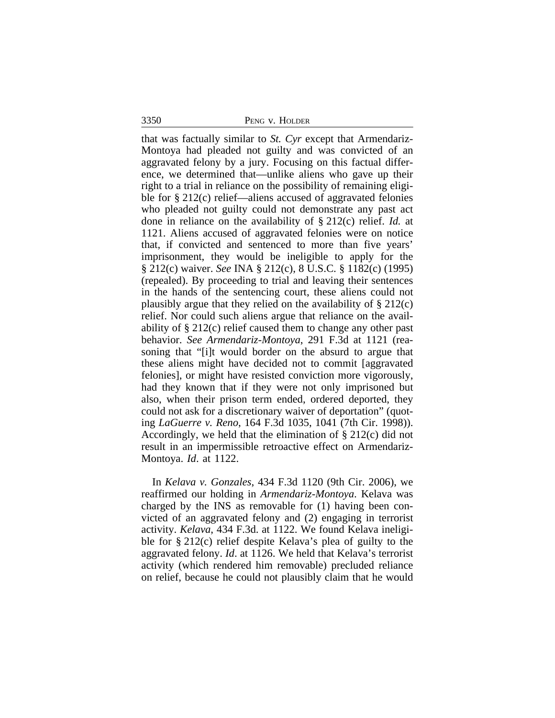3350 PENG v. HOLDER

that was factually similar to *St. Cyr* except that Armendariz-Montoya had pleaded not guilty and was convicted of an aggravated felony by a jury. Focusing on this factual difference, we determined that—unlike aliens who gave up their right to a trial in reliance on the possibility of remaining eligible for § 212(c) relief—aliens accused of aggravated felonies who pleaded not guilty could not demonstrate any past act done in reliance on the availability of § 212(c) relief. *Id.* at 1121. Aliens accused of aggravated felonies were on notice that, if convicted and sentenced to more than five years' imprisonment, they would be ineligible to apply for the § 212(c) waiver. *See* INA § 212(c), 8 U.S.C. § 1182(c) (1995) (repealed). By proceeding to trial and leaving their sentences in the hands of the sentencing court, these aliens could not plausibly argue that they relied on the availability of  $\S 212(c)$ relief. Nor could such aliens argue that reliance on the availability of § 212(c) relief caused them to change any other past behavior. *See Armendariz-Montoya*, 291 F.3d at 1121 (reasoning that "[i]t would border on the absurd to argue that these aliens might have decided not to commit [aggravated felonies], or might have resisted conviction more vigorously, had they known that if they were not only imprisoned but also, when their prison term ended, ordered deported, they could not ask for a discretionary waiver of deportation" (quoting *LaGuerre v. Reno*, 164 F.3d 1035, 1041 (7th Cir. 1998)). Accordingly, we held that the elimination of § 212(c) did not result in an impermissible retroactive effect on Armendariz-Montoya. *Id*. at 1122.

In *Kelava v. Gonzales*, 434 F.3d 1120 (9th Cir. 2006), we reaffirmed our holding in *Armendariz-Montoya*. Kelava was charged by the INS as removable for (1) having been convicted of an aggravated felony and (2) engaging in terrorist activity. *Kelava*, 434 F.3d. at 1122. We found Kelava ineligible for § 212(c) relief despite Kelava's plea of guilty to the aggravated felony. *Id*. at 1126. We held that Kelava's terrorist activity (which rendered him removable) precluded reliance on relief, because he could not plausibly claim that he would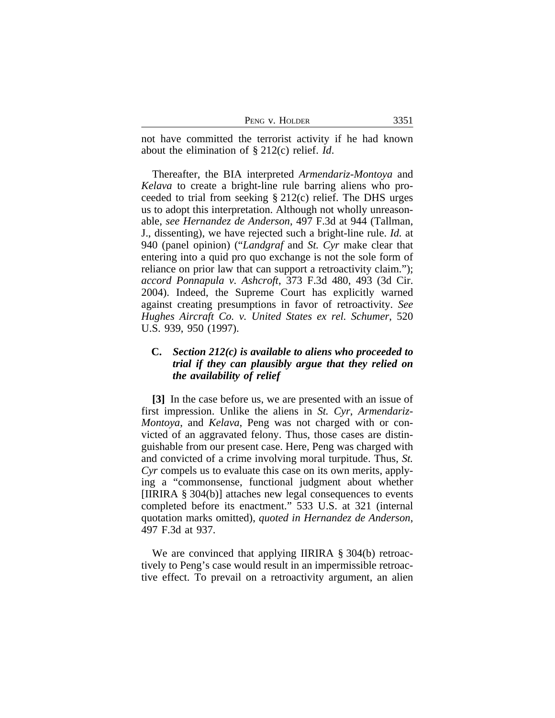| PENG V. HOLDER | ר ר |
|----------------|-----|
|----------------|-----|

not have committed the terrorist activity if he had known about the elimination of § 212(c) relief. *Id*.

Thereafter, the BIA interpreted *Armendariz-Montoya* and *Kelava* to create a bright-line rule barring aliens who proceeded to trial from seeking § 212(c) relief. The DHS urges us to adopt this interpretation. Although not wholly unreasonable, *see Hernandez de Anderson*, 497 F.3d at 944 (Tallman, J., dissenting), we have rejected such a bright-line rule. *Id.* at 940 (panel opinion) ("*Landgraf* and *St. Cyr* make clear that entering into a quid pro quo exchange is not the sole form of reliance on prior law that can support a retroactivity claim."); *accord Ponnapula v. Ashcroft*, 373 F.3d 480, 493 (3d Cir. 2004). Indeed, the Supreme Court has explicitly warned against creating presumptions in favor of retroactivity. *See Hughes Aircraft Co. v. United States ex rel. Schumer*, 520 U.S. 939, 950 (1997).

# **C.** *Section 212(c) is available to aliens who proceeded to trial if they can plausibly argue that they relied on the availability of relief*

**[3]** In the case before us, we are presented with an issue of first impression. Unlike the aliens in *St. Cyr*, *Armendariz-Montoya*, and *Kelava*, Peng was not charged with or convicted of an aggravated felony. Thus, those cases are distinguishable from our present case. Here, Peng was charged with and convicted of a crime involving moral turpitude. Thus, *St. Cyr* compels us to evaluate this case on its own merits, applying a "commonsense, functional judgment about whether [IIRIRA § 304(b)] attaches new legal consequences to events completed before its enactment." 533 U.S. at 321 (internal quotation marks omitted), *quoted in Hernandez de Anderson*, 497 F.3d at 937.

We are convinced that applying IIRIRA § 304(b) retroactively to Peng's case would result in an impermissible retroactive effect. To prevail on a retroactivity argument, an alien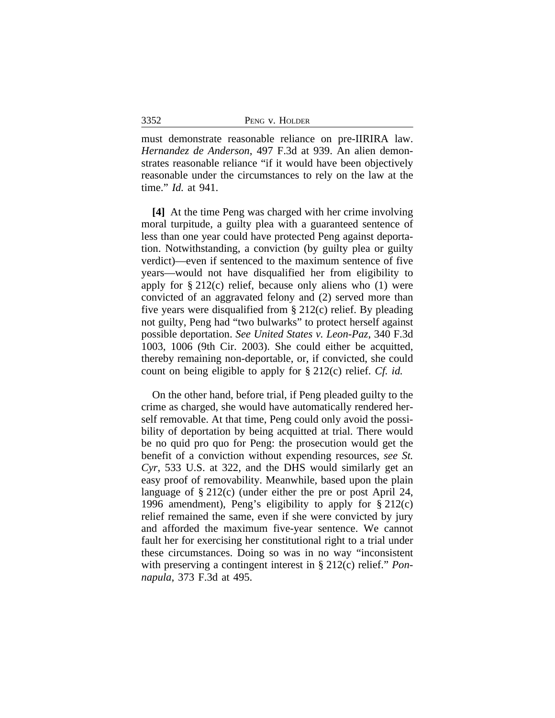| PENG V. HOLDER |  |  |
|----------------|--|--|
|----------------|--|--|

must demonstrate reasonable reliance on pre-IIRIRA law. *Hernandez de Anderson*, 497 F.3d at 939. An alien demonstrates reasonable reliance "if it would have been objectively reasonable under the circumstances to rely on the law at the time." *Id.* at 941.

**[4]** At the time Peng was charged with her crime involving moral turpitude, a guilty plea with a guaranteed sentence of less than one year could have protected Peng against deportation. Notwithstanding, a conviction (by guilty plea or guilty verdict)—even if sentenced to the maximum sentence of five years—would not have disqualified her from eligibility to apply for  $\S 212(c)$  relief, because only aliens who (1) were convicted of an aggravated felony and (2) served more than five years were disqualified from § 212(c) relief. By pleading not guilty, Peng had "two bulwarks" to protect herself against possible deportation. *See United States v. Leon-Paz*, 340 F.3d 1003, 1006 (9th Cir. 2003). She could either be acquitted, thereby remaining non-deportable, or, if convicted, she could count on being eligible to apply for § 212(c) relief. *Cf. id.*

On the other hand, before trial, if Peng pleaded guilty to the crime as charged, she would have automatically rendered herself removable. At that time, Peng could only avoid the possibility of deportation by being acquitted at trial. There would be no quid pro quo for Peng: the prosecution would get the benefit of a conviction without expending resources, *see St. Cyr*, 533 U.S. at 322, and the DHS would similarly get an easy proof of removability. Meanwhile, based upon the plain language of § 212(c) (under either the pre or post April 24, 1996 amendment), Peng's eligibility to apply for  $\S 212(c)$ relief remained the same, even if she were convicted by jury and afforded the maximum five-year sentence. We cannot fault her for exercising her constitutional right to a trial under these circumstances. Doing so was in no way "inconsistent with preserving a contingent interest in § 212(c) relief." *Ponnapula*, 373 F.3d at 495.

3352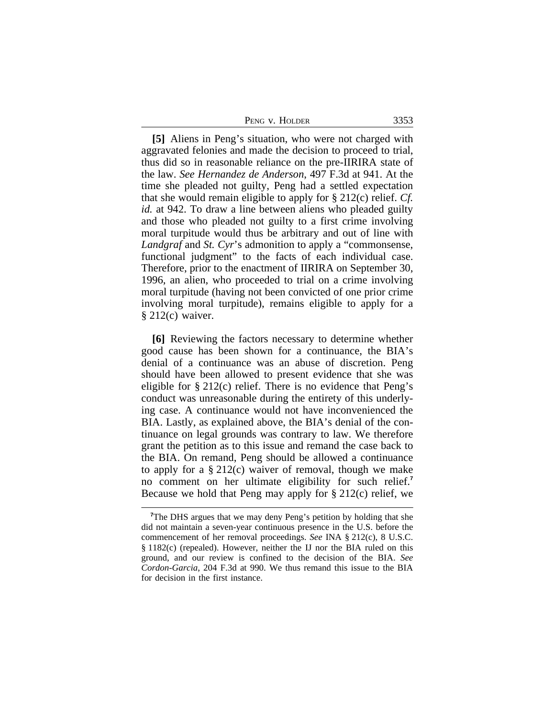| PENG V. HOLDER | 3353 |
|----------------|------|
|----------------|------|

**[5]** Aliens in Peng's situation, who were not charged with aggravated felonies and made the decision to proceed to trial, thus did so in reasonable reliance on the pre-IIRIRA state of the law. *See Hernandez de Anderson*, 497 F.3d at 941. At the time she pleaded not guilty, Peng had a settled expectation that she would remain eligible to apply for § 212(c) relief. *Cf. id.* at 942. To draw a line between aliens who pleaded guilty and those who pleaded not guilty to a first crime involving moral turpitude would thus be arbitrary and out of line with *Landgraf* and *St. Cyr*'s admonition to apply a "commonsense, functional judgment" to the facts of each individual case. Therefore, prior to the enactment of IIRIRA on September 30, 1996, an alien, who proceeded to trial on a crime involving moral turpitude (having not been convicted of one prior crime involving moral turpitude), remains eligible to apply for a § 212(c) waiver.

**[6]** Reviewing the factors necessary to determine whether good cause has been shown for a continuance, the BIA's denial of a continuance was an abuse of discretion. Peng should have been allowed to present evidence that she was eligible for  $\S 212(c)$  relief. There is no evidence that Peng's conduct was unreasonable during the entirety of this underlying case. A continuance would not have inconvenienced the BIA. Lastly, as explained above, the BIA's denial of the continuance on legal grounds was contrary to law. We therefore grant the petition as to this issue and remand the case back to the BIA. On remand, Peng should be allowed a continuance to apply for a  $\S 212(c)$  waiver of removal, though we make no comment on her ultimate eligibility for such relief.**<sup>7</sup>** Because we hold that Peng may apply for § 212(c) relief, we

<sup>&</sup>lt;sup>7</sup>The DHS argues that we may deny Peng's petition by holding that she did not maintain a seven-year continuous presence in the U.S. before the commencement of her removal proceedings. *See* INA § 212(c), 8 U.S.C. § 1182(c) (repealed). However, neither the IJ nor the BIA ruled on this ground, and our review is confined to the decision of the BIA. *See Cordon-Garcia*, 204 F.3d at 990. We thus remand this issue to the BIA for decision in the first instance.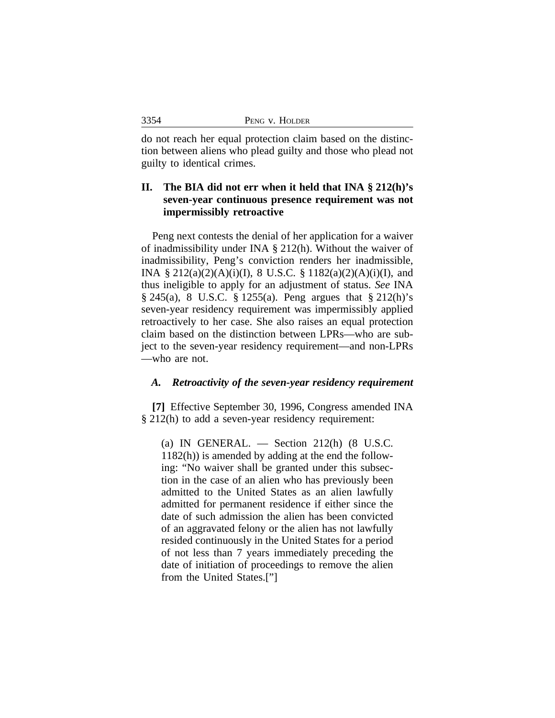|  | PENG V. HOLDER |
|--|----------------|
|--|----------------|

3354

do not reach her equal protection claim based on the distinction between aliens who plead guilty and those who plead not guilty to identical crimes.

# **II. The BIA did not err when it held that INA § 212(h)'s seven-year continuous presence requirement was not impermissibly retroactive**

Peng next contests the denial of her application for a waiver of inadmissibility under INA § 212(h). Without the waiver of inadmissibility, Peng's conviction renders her inadmissible, INA § 212(a)(2)(A)(i)(I), 8 U.S.C. § 1182(a)(2)(A)(i)(I), and thus ineligible to apply for an adjustment of status. *See* INA § 245(a), 8 U.S.C. § 1255(a). Peng argues that § 212(h)'s seven-year residency requirement was impermissibly applied retroactively to her case. She also raises an equal protection claim based on the distinction between LPRs—who are subject to the seven-year residency requirement—and non-LPRs —who are not.

### *A. Retroactivity of the seven-year residency requirement*

**[7]** Effective September 30, 1996, Congress amended INA § 212(h) to add a seven-year residency requirement:

(a) IN GENERAL.  $-$  Section 212(h) (8 U.S.C. 1182(h)) is amended by adding at the end the following: "No waiver shall be granted under this subsection in the case of an alien who has previously been admitted to the United States as an alien lawfully admitted for permanent residence if either since the date of such admission the alien has been convicted of an aggravated felony or the alien has not lawfully resided continuously in the United States for a period of not less than 7 years immediately preceding the date of initiation of proceedings to remove the alien from the United States.["]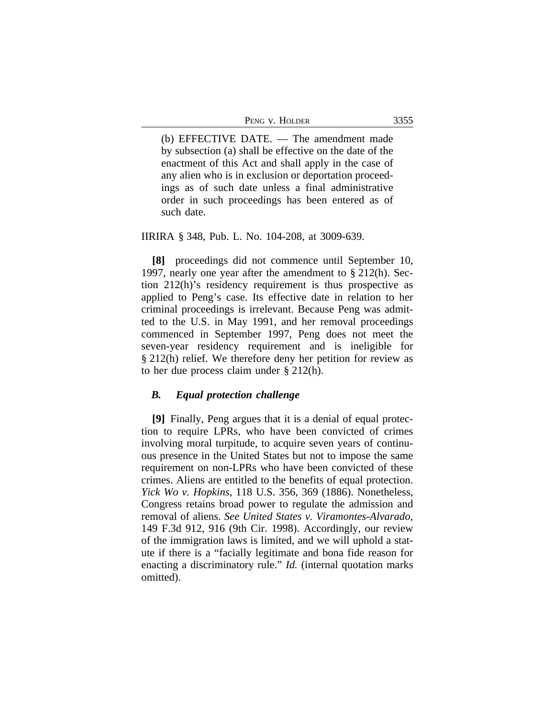(b) EFFECTIVE DATE. — The amendment made by subsection (a) shall be effective on the date of the enactment of this Act and shall apply in the case of any alien who is in exclusion or deportation proceedings as of such date unless a final administrative order in such proceedings has been entered as of such date.

## IIRIRA § 348, Pub. L. No. 104-208, at 3009-639.

**[8]** proceedings did not commence until September 10, 1997, nearly one year after the amendment to § 212(h). Section 212(h)'s residency requirement is thus prospective as applied to Peng's case. Its effective date in relation to her criminal proceedings is irrelevant. Because Peng was admitted to the U.S. in May 1991, and her removal proceedings commenced in September 1997, Peng does not meet the seven-year residency requirement and is ineligible for § 212(h) relief. We therefore deny her petition for review as to her due process claim under § 212(h).

#### *B. Equal protection challenge*

**[9]** Finally, Peng argues that it is a denial of equal protection to require LPRs, who have been convicted of crimes involving moral turpitude, to acquire seven years of continuous presence in the United States but not to impose the same requirement on non-LPRs who have been convicted of these crimes. Aliens are entitled to the benefits of equal protection. *Yick Wo v. Hopkins*, 118 U.S. 356, 369 (1886). Nonetheless, Congress retains broad power to regulate the admission and removal of aliens. *See United States v. Viramontes-Alvarado*, 149 F.3d 912, 916 (9th Cir. 1998). Accordingly, our review of the immigration laws is limited, and we will uphold a statute if there is a "facially legitimate and bona fide reason for enacting a discriminatory rule." *Id.* (internal quotation marks omitted).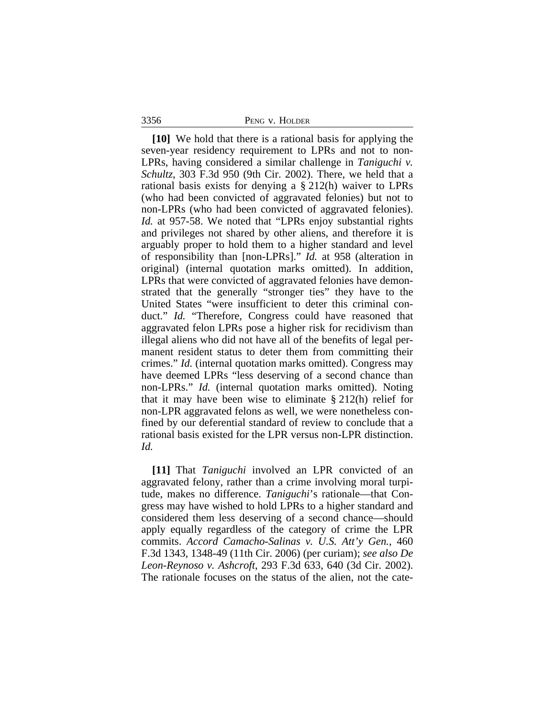3356 PENG v. HOLDER

**[10]** We hold that there is a rational basis for applying the seven-year residency requirement to LPRs and not to non-LPRs, having considered a similar challenge in *Taniguchi v. Schultz*, 303 F.3d 950 (9th Cir. 2002). There, we held that a rational basis exists for denying a § 212(h) waiver to LPRs (who had been convicted of aggravated felonies) but not to non-LPRs (who had been convicted of aggravated felonies). *Id.* at 957-58. We noted that "LPRs enjoy substantial rights and privileges not shared by other aliens, and therefore it is arguably proper to hold them to a higher standard and level of responsibility than [non-LPRs]." *Id.* at 958 (alteration in original) (internal quotation marks omitted). In addition, LPRs that were convicted of aggravated felonies have demonstrated that the generally "stronger ties" they have to the United States "were insufficient to deter this criminal conduct." *Id.* "Therefore, Congress could have reasoned that aggravated felon LPRs pose a higher risk for recidivism than illegal aliens who did not have all of the benefits of legal permanent resident status to deter them from committing their crimes." *Id.* (internal quotation marks omitted). Congress may have deemed LPRs "less deserving of a second chance than non-LPRs." *Id.* (internal quotation marks omitted). Noting that it may have been wise to eliminate  $\S 212(h)$  relief for non-LPR aggravated felons as well, we were nonetheless confined by our deferential standard of review to conclude that a rational basis existed for the LPR versus non-LPR distinction. *Id.*

**[11]** That *Taniguchi* involved an LPR convicted of an aggravated felony, rather than a crime involving moral turpitude, makes no difference. *Taniguchi*'s rationale—that Congress may have wished to hold LPRs to a higher standard and considered them less deserving of a second chance—should apply equally regardless of the category of crime the LPR commits. *Accord Camacho-Salinas v. U.S. Att'y Gen.*, 460 F.3d 1343, 1348-49 (11th Cir. 2006) (per curiam); *see also De Leon-Reynoso v. Ashcroft*, 293 F.3d 633, 640 (3d Cir. 2002). The rationale focuses on the status of the alien, not the cate-